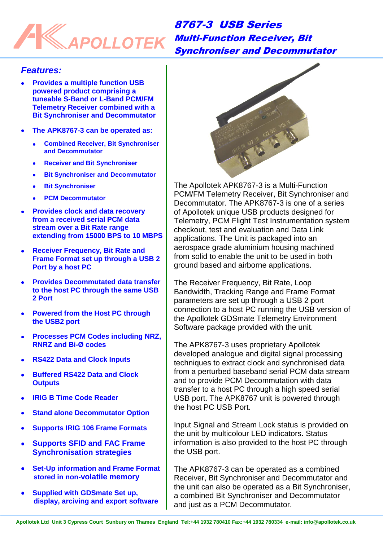# **POLLOTEK**

# 8767-3 USB Series Multi-Function Receiver, Bit Synchroniser and Decommutator

### *Features:*

- **Provides a multiple function USB powered product comprising a tuneable S-Band or L-Band PCM/FM Telemetry Receiver combined with a Bit Synchroniser and Decommutator**
- **The APK8767-3 can be operated as:**
	- **Combined Receiver, Bit Synchroniser and Decommutator**
	- **Receiver and Bit Synchroniser**
	- **Bit Synchroniser and Decommutator**
	- **Bit Synchroniser**
	- **PCM Decommutator**
- **Provides clock and data recovery from a received serial PCM data stream over a Bit Rate range extending from 15000 BPS to 10 MBPS**
- **Receiver Frequency, Bit Rate and Frame Format set up through a USB 2 Port by a host PC**
- **Provides Decommutated data transfer to the host PC through the same USB 2 Port**
- **Powered from the Host PC through the USB2 port**
- **Processes PCM Codes including NRZ, RNRZ and Bi-Ø codes**
- **RS422 Data and Clock Inputs**
- **Buffered RS422 Data and Clock Outputs**
- **IRIG B Time Code Reader**
- **Stand alone Decommutator Option**
- **Supports IRIG 106 Frame Formats**
- **Supports SFID and FAC Frame Synchronisation strategies**
- **Set-Up information and Frame Format stored in non-volatile memory**
- **Supplied with GDSmate Set up, display, arciving and export software**



The Apollotek APK8767-3 is a Multi-Function PCM/FM Telemetry Receiver, Bit Synchroniser and Decommutator. The APK8767-3 is one of a series of Apollotek unique USB products designed for Telemetry, PCM Flight Test Instrumentation system checkout, test and evaluation and Data Link applications. The Unit is packaged into an aerospace grade aluminium housing machined from solid to enable the unit to be used in both ground based and airborne applications.

The Receiver Frequency, Bit Rate, Loop Bandwidth, Tracking Range and Frame Format parameters are set up through a USB 2 port connection to a host PC running the USB version of the Apollotek GDSmate Telemetry Environment Software package provided with the unit.

The APK8767-3 uses proprietary Apollotek developed analogue and digital signal processing techniques to extract clock and synchronised data from a perturbed baseband serial PCM data stream and to provide PCM Decommutation with data transfer to a host PC through a high speed serial USB port. The APK8767 unit is powered through the host PC USB Port.

Input Signal and Stream Lock status is provided on the unit by multicolour LED indicators. Status information is also provided to the host PC through the USB port.

The APK8767-3 can be operated as a combined Receiver, Bit Synchroniser and Decommutator and the unit can also be operated as a Bit Synchroniser, a combined Bit Synchroniser and Decommutator and just as a PCM Decommutator.